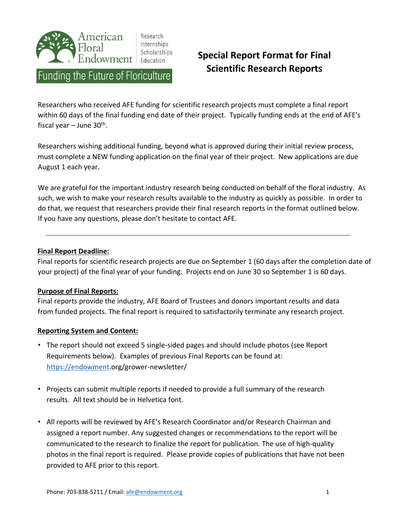

Research Internships Scholarships Education

# Funding the Future of Floriculture

## **Special Report Format for Final Scientific Research Reports**

Researchers who received AFE funding for scientific research projects must complete a final report within 60 days of the final funding end date of their project. Typically funding ends at the end of AFE's fiscal year – June 30<sup>th</sup>.

Researchers wishing additional funding, beyond what is approved during their initial review process, must complete a NEW funding application on the final year of their project. New applications are due August 1 each year.

We are grateful for the important industry research being conducted on behalf of the floral industry. As such, we wish to make your research results available to the industry as quickly as possible. In order to do that, we request that researchers provide their final research reports in the format outlined below. If you have any questions, please don't hesitate to contact AFE.

#### **Final Report Deadline:**

Final reports for scientific research projects are due on September 1 (60 days after the completion date of your project) of the final year of your funding. Projects end on June 30 so September 1 is 60 days.

#### **Purpose of Final Reports:**

Final reports provide the industry, AFE Board of Trustees and donors important results and data from funded projects. The final report is required to satisfactorily terminate any research project.

#### **Reporting System and Content:**

- The report should not exceed 5 single-sided pages and should include photos (see Report Requirements below). Examples of previous Final Reports can be found at: [https://endowment.](https://endowment/)org/grower-newsletter/
- Projects can submit multiple reports if needed to provide a full summary of the research results. All text should be in Helvetica font.
- All reports will be reviewed by AFE's Research Coordinator and/or Research Chairman and assigned a report number. Any suggested changes or recommendations to the report will be communicated to the research to finalize the report for publication. The use of high-quality photos in the final report is required. Please provide copies of publications that have not been provided to AFE prior to this report.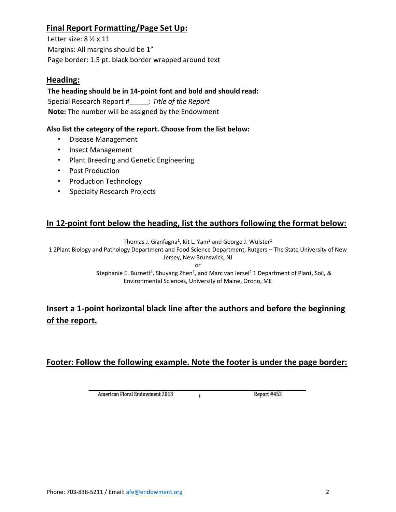## **Final Report Formatting/Page Set Up:**

Letter size: 8 ½ x 11 Margins: All margins should be 1" Page border: 1.5 pt. black border wrapped around text

### **Heading:**

**The heading should be in 14-point font and bold and should read:** 

Special Research Report #\_\_\_\_\_: *Title of the Report* **Note:** The number will be assigned by the Endowment

#### **Also list the category of the report. Choose from the list below:**

- Disease Management
- Insect Management
- Plant Breeding and Genetic Engineering
- Post Production
- Production Technology
- Specialty Research Projects

## **In 12-point font below the heading, list the authors following the format below:**

Thomas J. Gianfagna<sup>1</sup>, Kit L. Yam<sup>2</sup> and George J. Wulster<sup>1</sup>

1 2Plant Biology and Pathology Department and Food Science Department, Rutgers – The State University of New Jersey, New Brunswick, NJ

or

Stephanie E. Burnett<sup>1</sup>, Shuyang Zhen<sup>1</sup>, and Marc van Iersel<sup>2</sup> 1 Department of Plant, Soil, & Environmental Sciences, University of Maine, Orono, ME

## **Insert a 1-point horizontal black line after the authors and before the beginning of the report.**

## **Footer: Follow the following example. Note the footer is under the page border:**

 $\mathbf{1}$ 

American Floral Endowment 2013

Report #452